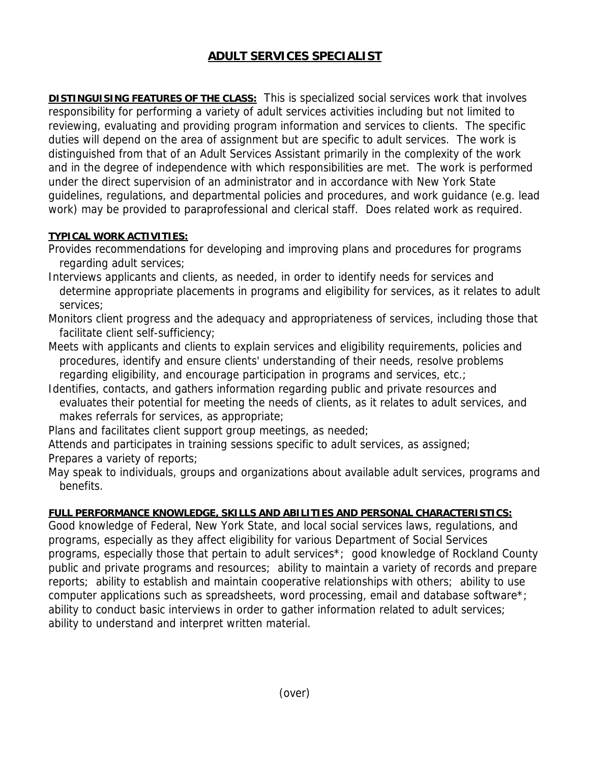## **ADULT SERVICES SPECIALIST**

**DISTINGUISING FEATURES OF THE CLASS:** This is specialized social services work that involves responsibility for performing a variety of adult services activities including but not limited to reviewing, evaluating and providing program information and services to clients. The specific duties will depend on the area of assignment but are specific to adult services. The work is distinguished from that of an Adult Services Assistant primarily in the complexity of the work and in the degree of independence with which responsibilities are met. The work is performed under the direct supervision of an administrator and in accordance with New York State guidelines, regulations, and departmental policies and procedures, and work guidance (e.g. lead work) may be provided to paraprofessional and clerical staff. Does related work as required.

## **TYPICAL WORK ACTIVITIES:**

- Provides recommendations for developing and improving plans and procedures for programs regarding adult services;
- Interviews applicants and clients, as needed, in order to identify needs for services and determine appropriate placements in programs and eligibility for services, as it relates to adult services;
- Monitors client progress and the adequacy and appropriateness of services, including those that facilitate client self-sufficiency;
- Meets with applicants and clients to explain services and eligibility requirements, policies and procedures, identify and ensure clients' understanding of their needs, resolve problems regarding eligibility, and encourage participation in programs and services, etc.;
- Identifies, contacts, and gathers information regarding public and private resources and evaluates their potential for meeting the needs of clients, as it relates to adult services, and makes referrals for services, as appropriate;
- Plans and facilitates client support group meetings, as needed;
- Attends and participates in training sessions specific to adult services, as assigned;
- Prepares a variety of reports;
- May speak to individuals, groups and organizations about available adult services, programs and benefits.

## **FULL PERFORMANCE KNOWLEDGE, SKILLS AND ABILITIES AND PERSONAL CHARACTERISTICS:**

Good knowledge of Federal, New York State, and local social services laws, regulations, and programs, especially as they affect eligibility for various Department of Social Services programs, especially those that pertain to adult services\*; good knowledge of Rockland County public and private programs and resources; ability to maintain a variety of records and prepare reports; ability to establish and maintain cooperative relationships with others; ability to use computer applications such as spreadsheets, word processing, email and database software\*; ability to conduct basic interviews in order to gather information related to adult services; ability to understand and interpret written material.